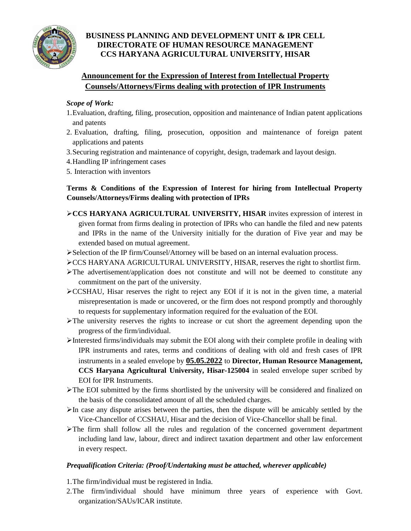

# **BUSINESS PLANNING AND DEVELOPMENT UNIT & IPR CELL DIRECTORATE OF HUMAN RESOURCE MANAGEMENT CCS HARYANA AGRICULTURAL UNIVERSITY, HISAR**

# **Announcement for the Expression of Interest from Intellectual Property Counsels/Attorneys/Firms dealing with protection of IPR Instruments**

## *Scope of Work:*

- 1.Evaluation, drafting, filing, prosecution, opposition and maintenance of Indian patent applications and patents
- 2. Evaluation, drafting, filing, prosecution, opposition and maintenance of foreign patent applications and patents
- 3.Securing registration and maintenance of copyright, design, trademark and layout design.
- 4.Handling IP infringement cases
- 5. Interaction with inventors

## **Terms & Conditions of the Expression of Interest for hiring from Intellectual Property Counsels/Attorneys/Firms dealing with protection of IPRs**

- **CCS HARYANA AGRICULTURAL UNIVERSITY, HISAR** invites expression of interest in given format from firms dealing in protection of IPRs who can handle the filed and new patents and IPRs in the name of the University initially for the duration of Five year and may be extended based on mutual agreement.
- Selection of the IP firm/Counsel/Attorney will be based on an internal evaluation process.
- CCS HARYANA AGRICULTURAL UNIVERSITY, HISAR, reserves the right to shortlist firm.
- $\triangleright$  The advertisement/application does not constitute and will not be deemed to constitute any commitment on the part of the university.
- $\triangle$ CCSHAU, Hisar reserves the right to reject any EOI if it is not in the given time, a material misrepresentation is made or uncovered, or the firm does not respond promptly and thoroughly to requests for supplementary information required for the evaluation of the EOI.
- $\triangleright$  The university reserves the rights to increase or cut short the agreement depending upon the progress of the firm/individual.
- Interested firms/individuals may submit the EOI along with their complete profile in dealing with IPR instruments and rates, terms and conditions of dealing with old and fresh cases of IPR instruments in a sealed envelope by **05.05.2022** to **Director, Human Resource Management, CCS Haryana Agricultural University, Hisar-125004** in sealed envelope super scribed by EOI for IPR Instruments.
- The EOI submitted by the firms shortlisted by the university will be considered and finalized on the basis of the consolidated amount of all the scheduled charges.
- $\triangleright$  In case any dispute arises between the parties, then the dispute will be amicably settled by the Vice-Chancellor of CCSHAU, Hisar and the decision of Vice-Chancellor shall be final.
- $\triangleright$  The firm shall follow all the rules and regulation of the concerned government department including land law, labour, direct and indirect taxation department and other law enforcement in every respect.

### *Prequalification Criteria: (Proof/Undertaking must be attached, wherever applicable)*

- 1.The firm/individual must be registered in India.
- 2.The firm/individual should have minimum three years of experience with Govt. organization/SAUs/ICAR institute.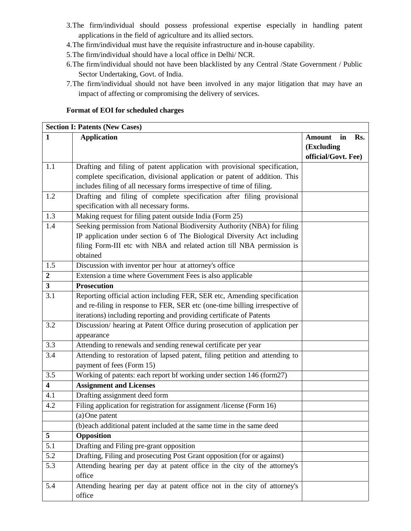- 3.The firm/individual should possess professional expertise especially in handling patent applications in the field of agriculture and its allied sectors.
- 4.The firm/individual must have the requisite infrastructure and in-house capability.
- 5.The firm/individual should have a local office in Delhi/ NCR.
- 6.The firm/individual should not have been blacklisted by any Central /State Government / Public Sector Undertaking, Govt. of India.
- 7.The firm/individual should not have been involved in any major litigation that may have an impact of affecting or compromising the delivery of services.

#### **Format of EOI for scheduled charges**

|                         | <b>Section I: Patents (New Cases)</b>                                       |                     |  |  |  |
|-------------------------|-----------------------------------------------------------------------------|---------------------|--|--|--|
| 1                       | <b>Application</b>                                                          | Amount<br>in<br>Rs. |  |  |  |
|                         |                                                                             | (Excluding          |  |  |  |
|                         |                                                                             | official/Govt. Fee) |  |  |  |
| 1.1                     | Drafting and filing of patent application with provisional specification,   |                     |  |  |  |
|                         | complete specification, divisional application or patent of addition. This  |                     |  |  |  |
|                         | includes filing of all necessary forms irrespective of time of filing.      |                     |  |  |  |
| 1.2                     | Drafting and filing of complete specification after filing provisional      |                     |  |  |  |
|                         | specification with all necessary forms.                                     |                     |  |  |  |
| 1.3                     | Making request for filing patent outside India (Form 25)                    |                     |  |  |  |
| 1.4                     | Seeking permission from National Biodiversity Authority (NBA) for filing    |                     |  |  |  |
|                         | IP application under section 6 of The Biological Diversity Act including    |                     |  |  |  |
|                         | filing Form-III etc with NBA and related action till NBA permission is      |                     |  |  |  |
|                         | obtained                                                                    |                     |  |  |  |
| 1.5                     | Discussion with inventor per hour at attorney's office                      |                     |  |  |  |
| $\overline{2}$          | Extension a time where Government Fees is also applicable                   |                     |  |  |  |
| $\overline{\mathbf{3}}$ | <b>Prosecution</b>                                                          |                     |  |  |  |
| $\overline{3.1}$        | Reporting official action including FER, SER etc, Amending specification    |                     |  |  |  |
|                         | and re-filing in response to FER, SER etc (one-time billing irrespective of |                     |  |  |  |
|                         | iterations) including reporting and providing certificate of Patents        |                     |  |  |  |
| 3.2                     | Discussion/ hearing at Patent Office during prosecution of application per  |                     |  |  |  |
|                         | appearance                                                                  |                     |  |  |  |
| 3.3                     | Attending to renewals and sending renewal certificate per year              |                     |  |  |  |
| 3.4                     | Attending to restoration of lapsed patent, filing petition and attending to |                     |  |  |  |
|                         | payment of fees (Form 15)                                                   |                     |  |  |  |
| 3.5                     | Working of patents: each report bf working under section 146 (form27)       |                     |  |  |  |
| $\overline{\mathbf{4}}$ | <b>Assignment and Licenses</b>                                              |                     |  |  |  |
| 4.1                     | Drafting assignment deed form                                               |                     |  |  |  |
| 4.2                     | Filing application for registration for assignment /license (Form 16)       |                     |  |  |  |
|                         | (a) One patent                                                              |                     |  |  |  |
|                         | (b)each additional patent included at the same time in the same deed        |                     |  |  |  |
| 5                       | Opposition                                                                  |                     |  |  |  |
| 5.1                     | Drafting and Filing pre-grant opposition                                    |                     |  |  |  |
| 5.2                     | Drafting, Filing and prosecuting Post Grant opposition (for or against)     |                     |  |  |  |
| 5.3                     | Attending hearing per day at patent office in the city of the attorney's    |                     |  |  |  |
|                         | office                                                                      |                     |  |  |  |
| 5.4                     | Attending hearing per day at patent office not in the city of attorney's    |                     |  |  |  |
|                         | office                                                                      |                     |  |  |  |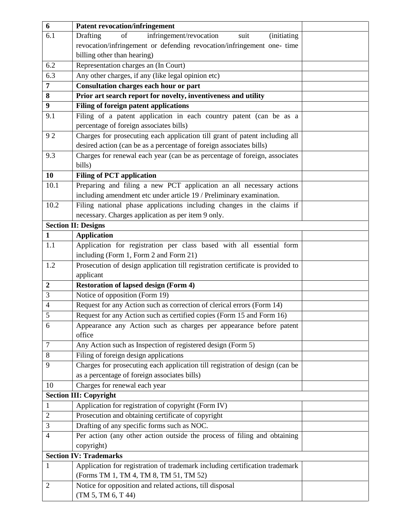| 6                | <b>Patent revocation/infringement</b>                                                                                        |  |
|------------------|------------------------------------------------------------------------------------------------------------------------------|--|
| 6.1              | Drafting<br>of<br>infringement/revocation<br><i>(initiating)</i><br>suit                                                     |  |
|                  | revocation/infringement or defending revocation/infringement one- time                                                       |  |
|                  | billing other than hearing)                                                                                                  |  |
| 6.2              | Representation charges an (In Court)                                                                                         |  |
| 6.3              | Any other charges, if any (like legal opinion etc)                                                                           |  |
| 7                | Consultation charges each hour or part                                                                                       |  |
| 8                | Prior art search report for novelty, inventiveness and utility                                                               |  |
| $\boldsymbol{9}$ | Filing of foreign patent applications                                                                                        |  |
| 9.1              | Filing of a patent application in each country patent (can be as a                                                           |  |
|                  | percentage of foreign associates bills)                                                                                      |  |
| 92               | Charges for prosecuting each application till grant of patent including all                                                  |  |
|                  | desired action (can be as a percentage of foreign associates bills)                                                          |  |
| 9.3              | Charges for renewal each year (can be as percentage of foreign, associates                                                   |  |
|                  | bills)                                                                                                                       |  |
| 10               | <b>Filing of PCT application</b>                                                                                             |  |
| 10.1             | Preparing and filing a new PCT application an all necessary actions                                                          |  |
|                  | including amendment etc under article 19 / Preliminary examination.                                                          |  |
| 10.2             | Filing national phase applications including changes in the claims if                                                        |  |
|                  | necessary. Charges application as per item 9 only.                                                                           |  |
|                  | <b>Section II: Designs</b>                                                                                                   |  |
| $\mathbf{1}$     | <b>Application</b>                                                                                                           |  |
| 1.1              | Application for registration per class based with all essential form                                                         |  |
|                  | including (Form 1, Form 2 and Form 21)                                                                                       |  |
| 1.2              | Prosecution of design application till registration certificate is provided to                                               |  |
|                  | applicant                                                                                                                    |  |
| $\boldsymbol{2}$ | <b>Restoration of lapsed design (Form 4)</b>                                                                                 |  |
| 3                | Notice of opposition (Form 19)                                                                                               |  |
| $\overline{4}$   | Request for any Action such as correction of clerical errors (Form 14)                                                       |  |
| 5                | Request for any Action such as certified copies (Form 15 and Form 16)                                                        |  |
| 6                | Appearance any Action such as charges per appearance before patent                                                           |  |
|                  | office                                                                                                                       |  |
| 7                | Any Action such as Inspection of registered design (Form 5)                                                                  |  |
| 8                | Filing of foreign design applications                                                                                        |  |
| 9                | Charges for prosecuting each application till registration of design (can be<br>as a percentage of foreign associates bills) |  |
| 10               | Charges for renewal each year                                                                                                |  |
|                  | <b>Section III: Copyright</b>                                                                                                |  |
| $\mathbf{1}$     | Application for registration of copyright (Form IV)                                                                          |  |
| $\overline{2}$   | Prosecution and obtaining certificate of copyright                                                                           |  |
| 3                | Drafting of any specific forms such as NOC.                                                                                  |  |
| $\overline{4}$   | Per action (any other action outside the process of filing and obtaining                                                     |  |
|                  | copyright)                                                                                                                   |  |
|                  | <b>Section IV: Trademarks</b>                                                                                                |  |
| $\mathbf{1}$     | Application for registration of trademark including certification trademark                                                  |  |
|                  | (Forms TM 1, TM 4, TM 8, TM 51, TM 52)                                                                                       |  |
| 2                | Notice for opposition and related actions, till disposal                                                                     |  |
|                  | (TM 5, TM 6, T 44)                                                                                                           |  |